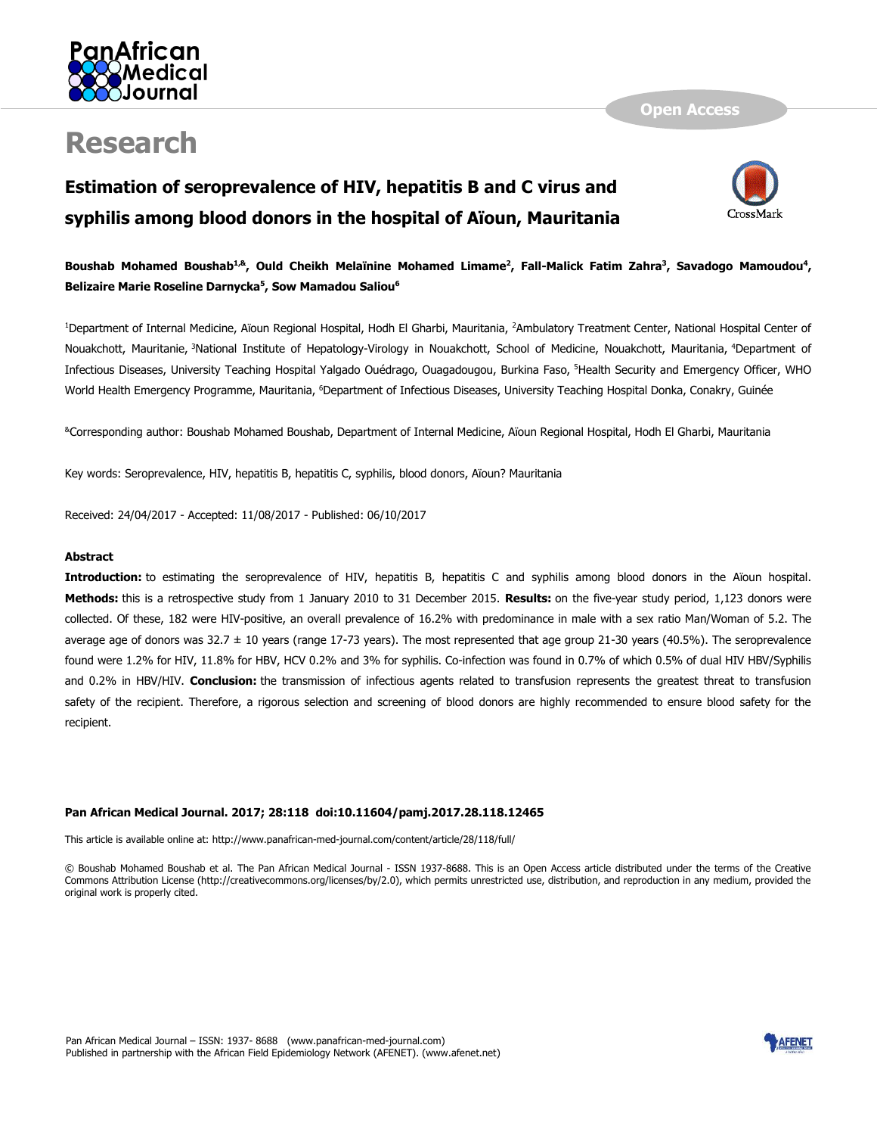

# **Research**

## **Estimation of seroprevalence of HIV, hepatitis B and C virus and syphilis among blood donors in the hospital of Aïoun, Mauritania**



## **Boushab Mohamed Boushab1,&, Ould Cheikh Melaïnine Mohamed Limame<sup>2</sup> , Fall-Malick Fatim Zahra<sup>3</sup> , Savadogo Mamoudou<sup>4</sup> , Belizaire Marie Roseline Darnycka<sup>5</sup> , Sow Mamadou Saliou<sup>6</sup>**

<sup>1</sup>Department of Internal Medicine, Aïoun Regional Hospital, Hodh El Gharbi, Mauritania, <sup>2</sup>Ambulatory Treatment Center, National Hospital Center of Nouakchott, Mauritanie, <sup>3</sup>National Institute of Hepatology-Virology in Nouakchott, School of Medicine, Nouakchott, Mauritania, <sup>4</sup>Department of Infectious Diseases, University Teaching Hospital Yalgado Ouédrago, Ouagadougou, Burkina Faso, <sup>5</sup>Health Security and Emergency Officer, WHO World Health Emergency Programme, Mauritania, <sup>6</sup>Department of Infectious Diseases, University Teaching Hospital Donka, Conakry, Guinée

&Corresponding author: Boushab Mohamed Boushab, Department of Internal Medicine, Aïoun Regional Hospital, Hodh El Gharbi, Mauritania

Key words: Seroprevalence, HIV, hepatitis B, hepatitis C, syphilis, blood donors, Aïoun? Mauritania

Received: 24/04/2017 - Accepted: 11/08/2017 - Published: 06/10/2017

#### **Abstract**

**Introduction:** to estimating the seroprevalence of HIV, hepatitis B, hepatitis C and syphilis among blood donors in the Aïoun hospital. **Methods:** this is a retrospective study from 1 January 2010 to 31 December 2015. **Results:** on the five-year study period, 1,123 donors were collected. Of these, 182 were HIV-positive, an overall prevalence of 16.2% with predominance in male with a sex ratio Man/Woman of 5.2. The average age of donors was  $32.7 \pm 10$  years (range 17-73 years). The most represented that age group 21-30 years (40.5%). The seroprevalence found were 1.2% for HIV, 11.8% for HBV, HCV 0.2% and 3% for syphilis. Co-infection was found in 0.7% of which 0.5% of dual HIV HBV/Syphilis and 0.2% in HBV/HIV. **Conclusion:** the transmission of infectious agents related to transfusion represents the greatest threat to transfusion safety of the recipient. Therefore, a rigorous selection and screening of blood donors are highly recommended to ensure blood safety for the recipient.

#### **Pan African Medical Journal. 2017; 28:118 doi:10.11604/pamj.2017.28.118.12465**

This article is available online at: http://www.panafrican-med-journal.com/content/article/28/118/full/

© Boushab Mohamed Boushab et al. The Pan African Medical Journal - ISSN 1937-8688. This is an Open Access article distributed under the terms of the Creative Commons Attribution License (http://creativecommons.org/licenses/by/2.0), which permits unrestricted use, distribution, and reproduction in any medium, provided the original work is properly cited.

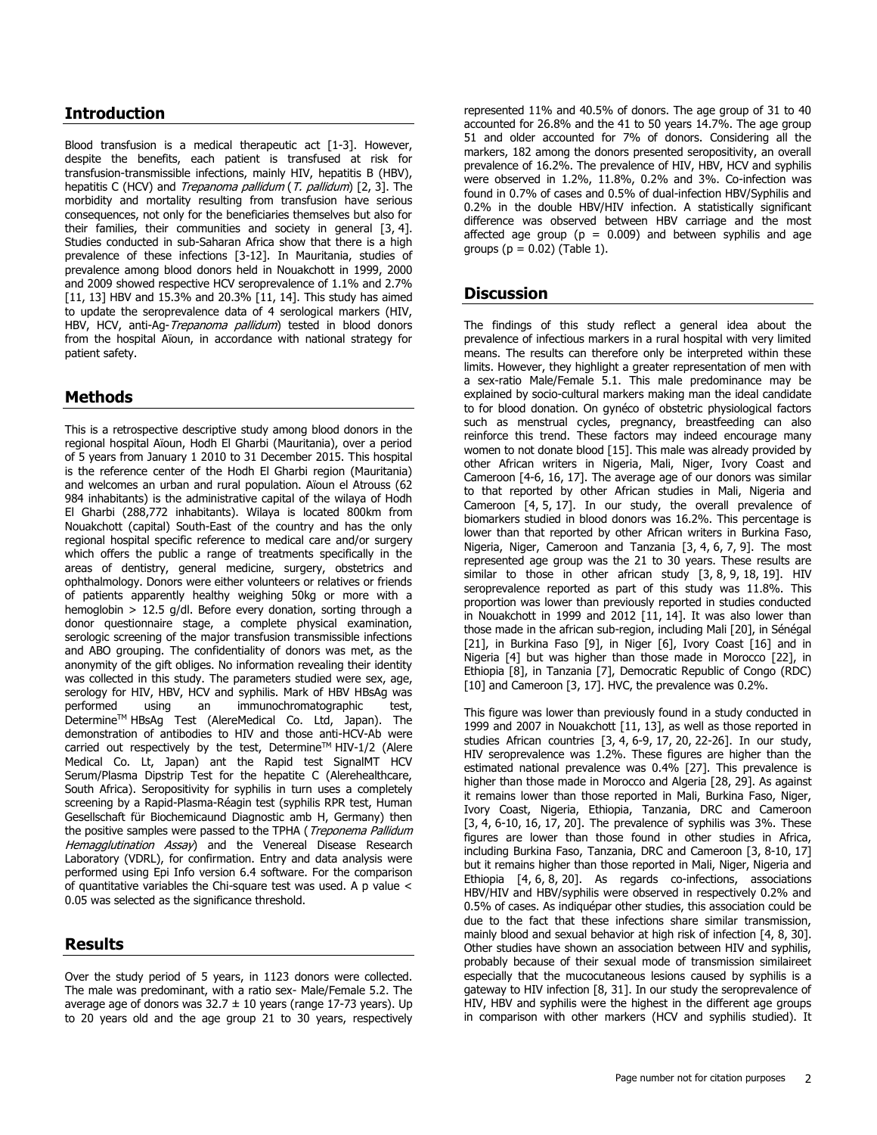### **Introduction**

Blood transfusion is a medical therapeutic act [\[1-3\]](http://www.panafrican-med-journal.com/content/article/28/118/full/#ref1). However, despite the benefits, each patient is transfused at risk for transfusion-transmissible infections, mainly HIV, hepatitis B (HBV), hepatitis C (HCV) and Trepanoma pallidum (T. pallidum) [\[2,](http://www.panafrican-med-journal.com/content/article/28/118/full/#ref2) [3\]](http://www.panafrican-med-journal.com/content/article/28/118/full/#ref3). The morbidity and mortality resulting from transfusion have serious consequences, not only for the beneficiaries themselves but also for their families, their communities and society in general [\[3,](http://www.panafrican-med-journal.com/content/article/28/118/full/#ref3) [4\]](http://www.panafrican-med-journal.com/content/article/28/118/full/#ref4). Studies conducted in sub-Saharan Africa show that there is a high prevalence of these infections [\[3-12\]](http://www.panafrican-med-journal.com/content/article/28/118/full/#ref3). In Mauritania, studies of prevalence among blood donors held in Nouakchott in 1999, 2000 and 2009 showed respective HCV seroprevalence of 1.1% and 2.7% [\[11,](http://www.panafrican-med-journal.com/content/article/28/118/full/#ref11) [13\]](http://www.panafrican-med-journal.com/content/article/28/118/full/#ref13) HBV and 15.3% and 20.3% [\[11,](http://www.panafrican-med-journal.com/content/article/28/118/full/#ref11) [14\]](http://www.panafrican-med-journal.com/content/article/28/118/full/#ref14). This study has aimed to update the seroprevalence data of 4 serological markers (HIV, HBV, HCV, anti-Ag-Trepanoma pallidum) tested in blood donors from the hospital Aïoun, in accordance with national strategy for patient safety.

## **Methods**

This is a retrospective descriptive study among blood donors in the regional hospital Aïoun, Hodh El Gharbi (Mauritania), over a period of 5 years from January 1 2010 to 31 December 2015. This hospital is the reference center of the Hodh El Gharbi region (Mauritania) and welcomes an urban and rural population. Aïoun el Atrouss (62 984 inhabitants) is the administrative capital of the wilaya of Hodh El Gharbi (288,772 inhabitants). Wilaya is located 800km from Nouakchott (capital) South-East of the country and has the only regional hospital specific reference to medical care and/or surgery which offers the public a range of treatments specifically in the areas of dentistry, general medicine, surgery, obstetrics and ophthalmology. Donors were either volunteers or relatives or friends of patients apparently healthy weighing 50kg or more with a hemoglobin > 12.5 g/dl. Before every donation, sorting through a donor questionnaire stage, a complete physical examination, serologic screening of the major transfusion transmissible infections and ABO grouping. The confidentiality of donors was met, as the anonymity of the gift obliges. No information revealing their identity was collected in this study. The parameters studied were sex, age, serology for HIV, HBV, HCV and syphilis. Mark of HBV HBsAg was performed using an immunochromatographic test, Determine™ HBsAg Test (AlereMedical Co. Ltd, Japan). The demonstration of antibodies to HIV and those anti-HCV-Ab were carried out respectively by the test, Determine™ HIV-1/2 (Alere Medical Co. Lt, Japan) ant the Rapid test SignalMT HCV Serum/Plasma Dipstrip Test for the hepatite C (Alerehealthcare, South Africa). Seropositivity for syphilis in turn uses a completely screening by a Rapid-Plasma-Réagin test (syphilis RPR test, Human Gesellschaft für Biochemicaund Diagnostic amb H, Germany) then the positive samples were passed to the TPHA (*Treponema Pallidum* Hemagglutination Assay) and the Venereal Disease Research Laboratory (VDRL), for confirmation. Entry and data analysis were performed using Epi Info version 6.4 software. For the comparison of quantitative variables the Chi-square test was used. A p value  $\lt$ 0.05 was selected as the significance threshold.

### **Results**

Over the study period of 5 years, in 1123 donors were collected. The male was predominant, with a ratio sex- Male/Female 5.2. The average age of donors was  $32.7 \pm 10$  years (range 17-73 years). Up to 20 years old and the age group 21 to 30 years, respectively represented 11% and 40.5% of donors. The age group of 31 to 40 accounted for 26.8% and the 41 to 50 years 14.7%. The age group 51 and older accounted for 7% of donors. Considering all the markers, 182 among the donors presented seropositivity, an overall prevalence of 16.2%. The prevalence of HIV, HBV, HCV and syphilis were observed in 1.2%, 11.8%, 0.2% and 3%. Co-infection was found in 0.7% of cases and 0.5% of dual-infection HBV/Syphilis and 0.2% in the double HBV/HIV infection. A statistically significant difference was observed between HBV carriage and the most affected age group ( $p = 0.009$ ) and between syphilis and age groups ( $p = 0.02$ ) [\(Table 1\)](javascript:void(0)).

## **Discussion**

The findings of this study reflect a general idea about the prevalence of infectious markers in a rural hospital with very limited means. The results can therefore only be interpreted within these limits. However, they highlight a greater representation of men with a sex-ratio Male/Female 5.1. This male predominance may be explained by socio-cultural markers making man the ideal candidate to for blood donation. On gynéco of obstetric physiological factors such as menstrual cycles, pregnancy, breastfeeding can also reinforce this trend. These factors may indeed encourage many women to not donate blood [\[15\]](http://www.panafrican-med-journal.com/content/article/28/118/full/#ref15). This male was already provided by other African writers in Nigeria, Mali, Niger, Ivory Coast and Cameroon [\[4-6,](http://www.panafrican-med-journal.com/content/article/28/118/full/#ref4) [16,](http://www.panafrican-med-journal.com/content/article/28/118/full/#ref16) [17\]](http://www.panafrican-med-journal.com/content/article/28/118/full/#ref17). The average age of our donors was similar to that reported by other African studies in Mali, Nigeria and Cameroon [\[4,](http://www.panafrican-med-journal.com/content/article/28/118/full/#ref4) [5,](http://www.panafrican-med-journal.com/content/article/28/118/full/#ref5) [17\]](http://www.panafrican-med-journal.com/content/article/28/118/full/#ref17). In our study, the overall prevalence of biomarkers studied in blood donors was 16.2%. This percentage is lower than that reported by other African writers in Burkina Faso, Nigeria, Niger, Cameroon and Tanzania [\[3,](http://www.panafrican-med-journal.com/content/article/28/118/full/#ref3) [4,](http://www.panafrican-med-journal.com/content/article/28/118/full/#ref4) [6,](http://www.panafrican-med-journal.com/content/article/28/118/full/#ref6) [7,](http://www.panafrican-med-journal.com/content/article/28/118/full/#ref7) [9\]](http://www.panafrican-med-journal.com/content/article/28/118/full/#ref9). The most represented age group was the 21 to 30 years. These results are similar to those in other african study [\[3,](http://www.panafrican-med-journal.com/content/article/28/118/full/#ref3) [8,](http://www.panafrican-med-journal.com/content/article/28/118/full/#ref8) [9,](http://www.panafrican-med-journal.com/content/article/28/118/full/#ref9) [18,](http://www.panafrican-med-journal.com/content/article/28/118/full/#ref18) [19\]](http://www.panafrican-med-journal.com/content/article/28/118/full/#ref19). HIV seroprevalence reported as part of this study was 11.8%. This proportion was lower than previously reported in studies conducted in Nouakchott in 1999 and 2012 [\[11,](http://www.panafrican-med-journal.com/content/article/28/118/full/#ref11) [14\]](http://www.panafrican-med-journal.com/content/article/28/118/full/#ref14). It was also lower than those made in the african sub-region, including Mali [\[20\]](http://www.panafrican-med-journal.com/content/article/28/118/full/#ref20), in Sénégal [\[21\]](http://www.panafrican-med-journal.com/content/article/28/118/full/#ref21), in Burkina Faso [\[9\]](http://www.panafrican-med-journal.com/content/article/28/118/full/#ref9), in Niger [\[6\]](http://www.panafrican-med-journal.com/content/article/28/118/full/#ref6), Ivory Coast [\[16\]](http://www.panafrican-med-journal.com/content/article/28/118/full/#ref16) and in Nigeria [\[4\]](http://www.panafrican-med-journal.com/content/article/28/118/full/#ref4) but was higher than those made in Morocco [\[22\]](http://www.panafrican-med-journal.com/content/article/28/118/full/#ref22), in Ethiopia [\[8\]](http://www.panafrican-med-journal.com/content/article/28/118/full/#ref8), in Tanzania [\[7\]](http://www.panafrican-med-journal.com/content/article/28/118/full/#ref7), Democratic Republic of Congo (RDC) [\[10\]](http://www.panafrican-med-journal.com/content/article/28/118/full/#ref10) and Cameroon [\[3,](http://www.panafrican-med-journal.com/content/article/28/118/full/#ref3) [17\]](http://www.panafrican-med-journal.com/content/article/28/118/full/#ref17). HVC, the prevalence was 0.2%.

This figure was lower than previously found in a study conducted in 1999 and 2007 in Nouakchott [\[11,](http://www.panafrican-med-journal.com/content/article/28/118/full/#ref11) [13\]](http://www.panafrican-med-journal.com/content/article/28/118/full/#ref13), as well as those reported in studies African countries [\[3,](http://www.panafrican-med-journal.com/content/article/28/118/full/#ref3) [4,](http://www.panafrican-med-journal.com/content/article/28/118/full/#ref4) [6-9,](http://www.panafrican-med-journal.com/content/article/28/118/full/#ref6) [17,](http://www.panafrican-med-journal.com/content/article/28/118/full/#ref17) [20,](http://www.panafrican-med-journal.com/content/article/28/118/full/#ref20) [22-26\]](http://www.panafrican-med-journal.com/content/article/28/118/full/#ref22). In our study, HIV seroprevalence was 1.2%. These figures are higher than the estimated national prevalence was 0.4% [\[27\]](http://www.panafrican-med-journal.com/content/article/28/118/full/#ref27). This prevalence is higher than those made in Morocco and Algeria [\[28,](http://www.panafrican-med-journal.com/content/article/28/118/full/#ref28) [29\]](http://www.panafrican-med-journal.com/content/article/28/118/full/#ref29). As against it remains lower than those reported in Mali, Burkina Faso, Niger, Ivory Coast, Nigeria, Ethiopia, Tanzania, DRC and Cameroon [\[3,](http://www.panafrican-med-journal.com/content/article/28/118/full/#ref3) [4,](http://www.panafrican-med-journal.com/content/article/28/118/full/#ref4) [6-10,](http://www.panafrican-med-journal.com/content/article/28/118/full/#ref6) [16,](http://www.panafrican-med-journal.com/content/article/28/118/full/#ref16) [17,](http://www.panafrican-med-journal.com/content/article/28/118/full/#ref17) [20\]](http://www.panafrican-med-journal.com/content/article/28/118/full/#ref20). The prevalence of syphilis was 3%. These figures are lower than those found in other studies in Africa, including Burkina Faso, Tanzania, DRC and Cameroon [\[3,](http://www.panafrican-med-journal.com/content/article/28/118/full/#ref3) [8-10,](http://www.panafrican-med-journal.com/content/article/28/118/full/#ref8) [17\]](http://www.panafrican-med-journal.com/content/article/28/118/full/#ref17) but it remains higher than those reported in Mali, Niger, Nigeria and Ethiopia [\[4,](http://www.panafrican-med-journal.com/content/article/28/118/full/#ref4) [6,](http://www.panafrican-med-journal.com/content/article/28/118/full/#ref6) [8,](http://www.panafrican-med-journal.com/content/article/28/118/full/#ref8) [20\]](http://www.panafrican-med-journal.com/content/article/28/118/full/#ref20). As regards co-infections, associations HBV/HIV and HBV/syphilis were observed in respectively 0.2% and 0.5% of cases. As indiquépar other studies, this association could be due to the fact that these infections share similar transmission, mainly blood and sexual behavior at high risk of infection [\[4,](http://www.panafrican-med-journal.com/content/article/28/118/full/#ref4) [8,](http://www.panafrican-med-journal.com/content/article/28/118/full/#ref8) [30\]](http://www.panafrican-med-journal.com/content/article/28/118/full/#ref30). Other studies have shown an association between HIV and syphilis, probably because of their sexual mode of transmission similaireet especially that the mucocutaneous lesions caused by syphilis is a gateway to HIV infection [\[8,](http://www.panafrican-med-journal.com/content/article/28/118/full/#ref8) [31\]](http://www.panafrican-med-journal.com/content/article/28/118/full/#ref31). In our study the seroprevalence of HIV, HBV and syphilis were the highest in the different age groups in comparison with other markers (HCV and syphilis studied). It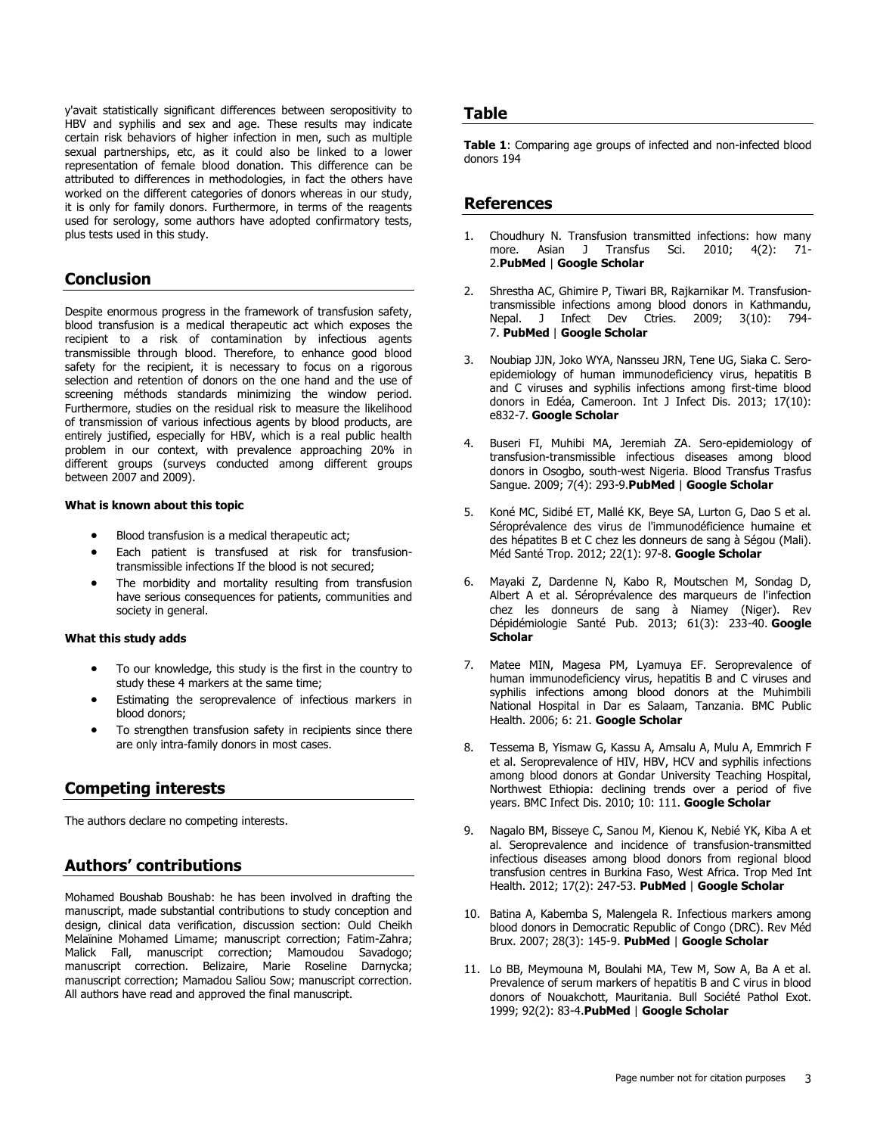y'avait statistically significant differences between seropositivity to HBV and syphilis and sex and age. These results may indicate certain risk behaviors of higher infection in men, such as multiple sexual partnerships, etc, as it could also be linked to a lower representation of female blood donation. This difference can be attributed to differences in methodologies, in fact the others have worked on the different categories of donors whereas in our study, it is only for family donors. Furthermore, in terms of the reagents used for serology, some authors have adopted confirmatory tests, plus tests used in this study.

#### **Conclusion**

Despite enormous progress in the framework of transfusion safety, blood transfusion is a medical therapeutic act which exposes the recipient to a risk of contamination by infectious agents transmissible through blood. Therefore, to enhance good blood safety for the recipient, it is necessary to focus on a rigorous selection and retention of donors on the one hand and the use of screening méthods standards minimizing the window period. Furthermore, studies on the residual risk to measure the likelihood of transmission of various infectious agents by blood products, are entirely justified, especially for HBV, which is a real public health problem in our context, with prevalence approaching 20% in different groups (surveys conducted among different groups between 2007 and 2009).

#### **What is known about this topic**

- Blood transfusion is a medical therapeutic act;
- Each patient is transfused at risk for transfusiontransmissible infections If the blood is not secured;
- The morbidity and mortality resulting from transfusion have serious consequences for patients, communities and society in general.

#### **What this study adds**

- To our knowledge, this study is the first in the country to study these 4 markers at the same time;
- Estimating the seroprevalence of infectious markers in blood donors;
- To strengthen transfusion safety in recipients since there are only intra-family donors in most cases.

### **Competing interests**

The authors declare no competing interests.

### **Authors' contributions**

Mohamed Boushab Boushab: he has been involved in drafting the manuscript, made substantial contributions to study conception and design, clinical data verification, discussion section: Ould Cheikh Melaïnine Mohamed Limame; manuscript correction; Fatim-Zahra; Malick Fall, manuscript correction; Mamoudou Savadogo; manuscript correction. Belizaire, Marie Roseline Darnycka; manuscript correction; Mamadou Saliou Sow; manuscript correction. All authors have read and approved the final manuscript.

#### **Table**

**[Table 1](javascript:void(0))**: Comparing age groups of infected and non-infected blood donors 194

#### **References**

- 1. Choudhury N. Transfusion transmitted infections: how many more. Asian J Transfus Sci. 2010; 4(2): 71- 2.**[PubMed](http://www.ncbi.nlm.nih.gov/entrez/query.fcgi?db=PubMed&cmd=Search&doptcmdl=Citation&defaultField=Title+Word&term=Choudhury%20N%5bauthor%5d+AND++Transfusion+transmitted+infections:+how+many+more)** | **[Google Scholar](http://scholar.google.com/scholar?hl=en&q=+Transfusion+transmitted+infections:+how+many+more)**
- 2. Shrestha AC, Ghimire P, Tiwari BR, Rajkarnikar M. Transfusiontransmissible infections among blood donors in Kathmandu, Nepal. J Infect Dev Ctries. 2009; 3(10): 794- 7. **[PubMed](http://www.ncbi.nlm.nih.gov/entrez/query.fcgi?db=PubMed&cmd=Search&doptcmdl=Citation&defaultField=Title+Word&term=Shrestha%20AC%5bauthor%5d+AND++Transfusion-transmissible+infections+among+blood+donors+in+Kathmandu+Nepal)** | **[Google Scholar](http://scholar.google.com/scholar?hl=en&q=+Transfusion-transmissible+infections+among+blood+donors+in+Kathmandu+Nepal)**
- 3. Noubiap JJN, Joko WYA, Nansseu JRN, Tene UG, Siaka C. Seroepidemiology of human immunodeficiency virus, hepatitis B and C viruses and syphilis infections among first-time blood donors in Edéa, Cameroon. Int J Infect Dis. 2013; 17(10): e832-7. **[Google Scholar](http://scholar.google.com/scholar?hl=en&q=+Sero-epidemiology+of+human+immunodeficiency+virus+hepatitis+B+and+C+viruses+and+syphilis+infections+among+first-time+blood+donors+in+Ed%E9a+Cameroon)**
- 4. Buseri FI, Muhibi MA, Jeremiah ZA. Sero-epidemiology of transfusion-transmissible infectious diseases among blood donors in Osogbo, south-west Nigeria. Blood Transfus Trasfus Sangue. 2009; 7(4): 293-9.**[PubMed](http://www.ncbi.nlm.nih.gov/entrez/query.fcgi?db=PubMed&cmd=Search&doptcmdl=Citation&defaultField=Title+Word&term=Buseri%20FI%5bauthor%5d+AND++Sero-epidemiology+of+transfusion-transmissible+infectious+diseases+among+blood+donors+in+Osogbo+south-west+Nigeria)** | **[Google Scholar](http://scholar.google.com/scholar?hl=en&q=+Sero-epidemiology+of+transfusion-transmissible+infectious+diseases+among+blood+donors+in+Osogbo+south-west+Nigeria)**
- 5. Koné MC, Sidibé ET, Mallé KK, Beye SA, Lurton G, Dao S et al. Séroprévalence des virus de l'immunodéficience humaine et des hépatites B et C chez les donneurs de sang à Ségou (Mali). Méd Santé Trop. 2012; 22(1): 97-8. **[Google Scholar](http://scholar.google.com/scholar?hl=en&q=+S%E9ropr%E9valence+des+virus+de+l?immunod%E9ficience+humaine+et+des+h%E9patites+B+et+C+chez+les+donneurs+de+sang+%E0+S%E9gou+(Mali))**
- 6. Mayaki Z, Dardenne N, Kabo R, Moutschen M, Sondag D, Albert A et al. Séroprévalence des marqueurs de l'infection chez les donneurs de sang à Niamey (Niger). Rev Dépidémiologie Santé Pub. 2013; 61(3): 233-40. **[Google](http://scholar.google.com/scholar?hl=en&q=+S%E9ropr%E9valence+des+marqueurs+de+l?infection+chez+les+donneurs+de+sang+%E0+Niamey+(Niger))  [Scholar](http://scholar.google.com/scholar?hl=en&q=+S%E9ropr%E9valence+des+marqueurs+de+l?infection+chez+les+donneurs+de+sang+%E0+Niamey+(Niger))**
- 7. Matee MIN, Magesa PM, Lyamuya EF. Seroprevalence of human immunodeficiency virus, hepatitis B and C viruses and syphilis infections among blood donors at the Muhimbili National Hospital in Dar es Salaam, Tanzania. BMC Public Health. 2006; 6: 21. **[Google Scholar](http://scholar.google.com/scholar?hl=en&q=+Seroprevalence+of+human+immunodeficiency+virus+hepatitis+B+and+C+viruses+and+syphilis+infections+among+blood+donors+at+the+Muhimbili+National+Hospital+in+Dar+es+Salaam+Tanzania)**
- 8. Tessema B, Yismaw G, Kassu A, Amsalu A, Mulu A, Emmrich F et al. Seroprevalence of HIV, HBV, HCV and syphilis infections among blood donors at Gondar University Teaching Hospital, Northwest Ethiopia: declining trends over a period of five years. BMC Infect Dis. 2010; 10: 111. **[Google Scholar](http://scholar.google.com/scholar?hl=en&q=+Seroprevalence+of+HIV+HBV+HCV+and+syphilis+infections+among+blood+donors+at+Gondar+University+Teaching+Hospital+Northwest+Ethiopia:+declining+trends+over+a+period+of+five+years)**
- 9. Nagalo BM, Bisseye C, Sanou M, Kienou K, Nebié YK, Kiba A et al. Seroprevalence and incidence of transfusion-transmitted infectious diseases among blood donors from regional blood transfusion centres in Burkina Faso, West Africa. Trop Med Int Health. 2012; 17(2): 247-53. **[PubMed](http://www.ncbi.nlm.nih.gov/entrez/query.fcgi?db=PubMed&cmd=Search&doptcmdl=Citation&defaultField=Title+Word&term=Nagalo%20BM%5bauthor%5d+AND++Seroprevalence+and+incidence+of+transfusion-transmitted+infectious+diseases+among+blood+donors+from+regional+blood+transfusion+centres+in+Burkina+Faso+West+Africa)** | **[Google Scholar](http://scholar.google.com/scholar?hl=en&q=+Seroprevalence+and+incidence+of+transfusion-transmitted+infectious+diseases+among+blood+donors+from+regional+blood+transfusion+centres+in+Burkina+Faso+West+Africa)**
- 10. Batina A, Kabemba S, Malengela R. Infectious markers among blood donors in Democratic Republic of Congo (DRC). Rev Méd Brux. 2007; 28(3): 145-9. **[PubMed](http://www.ncbi.nlm.nih.gov/entrez/query.fcgi?db=PubMed&cmd=Search&doptcmdl=Citation&defaultField=Title+Word&term=Batina%20A%5bauthor%5d+AND++Infectious+markers+among+blood+donors+in+Democratic+Republic+of+Congo+(DRC))** | **[Google Scholar](http://scholar.google.com/scholar?hl=en&q=+Infectious+markers+among+blood+donors+in+Democratic+Republic+of+Congo+(DRC))**
- 11. Lo BB, Meymouna M, Boulahi MA, Tew M, Sow A, Ba A et al. Prevalence of serum markers of hepatitis B and C virus in blood donors of Nouakchott, Mauritania. Bull Société Pathol Exot. 1999; 92(2): 83-4.**[PubMed](http://www.ncbi.nlm.nih.gov/entrez/query.fcgi?db=PubMed&cmd=Search&doptcmdl=Citation&defaultField=Title+Word&term=Lo%20BB%5bauthor%5d+AND++Prevalence+of+serum+markers+of+hepatitis+B+and+C+virus+in+blood+donors+of+Nouakchott+Mauritania)** | **[Google Scholar](http://scholar.google.com/scholar?hl=en&q=+Prevalence+of+serum+markers+of+hepatitis+B+and+C+virus+in+blood+donors+of+Nouakchott+Mauritania)**